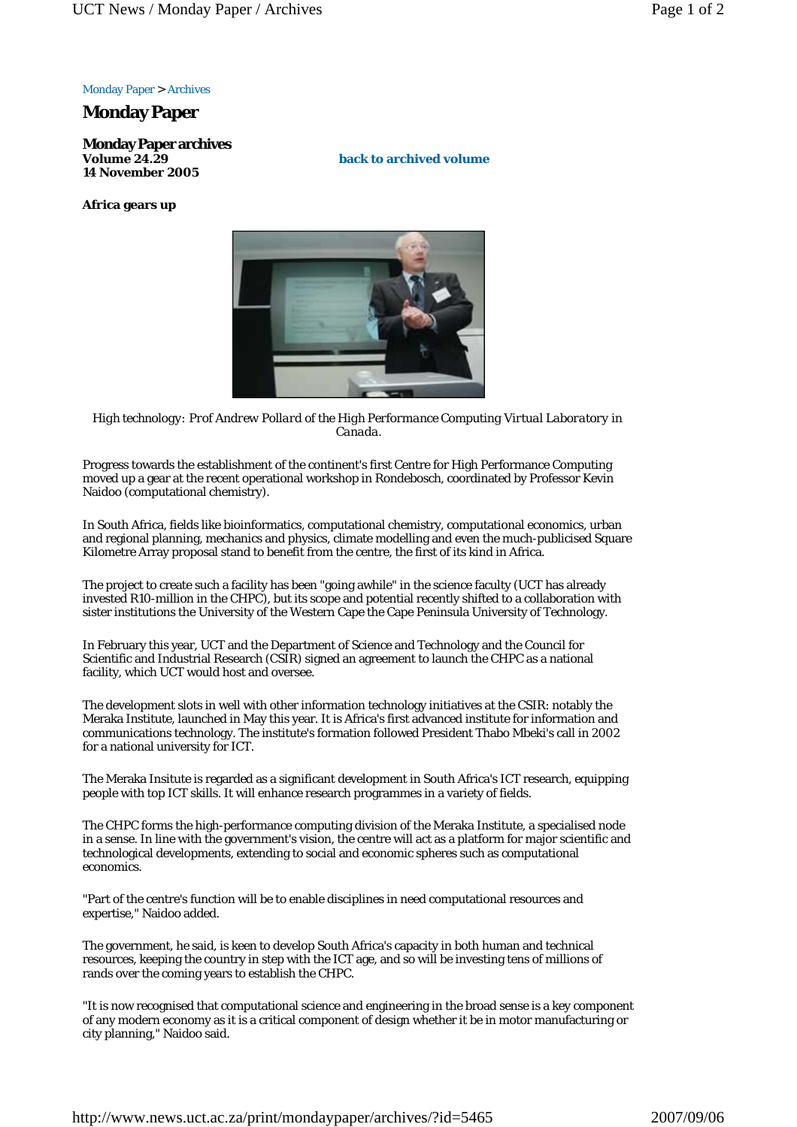## Monday Paper > Archives

## **Monday Paper**

**Monday Paper archives Volume 24.29 14 November 2005**

**Africa gears up**

**back to archived volume**



*High technology: Prof Andrew Pollard of the High Performance Computing Virtual Laboratory in Canada.*

Progress towards the establishment of the continent's first Centre for High Performance Computing moved up a gear at the recent operational workshop in Rondebosch, coordinated by Professor Kevin Naidoo (computational chemistry).

In South Africa, fields like bioinformatics, computational chemistry, computational economics, urban and regional planning, mechanics and physics, climate modelling and even the much-publicised Square Kilometre Array proposal stand to benefit from the centre, the first of its kind in Africa.

The project to create such a facility has been "going awhile" in the science faculty (UCT has already invested R10-million in the CHPC), but its scope and potential recently shifted to a collaboration with sister institutions the University of the Western Cape the Cape Peninsula University of Technology.

In February this year, UCT and the Department of Science and Technology and the Council for Scientific and Industrial Research (CSIR) signed an agreement to launch the CHPC as a national facility, which UCT would host and oversee.

The development slots in well with other information technology initiatives at the CSIR: notably the Meraka Institute, launched in May this year. It is Africa's first advanced institute for information and communications technology. The institute's formation followed President Thabo Mbeki's call in 2002 for a national university for ICT.

The Meraka Insitute is regarded as a significant development in South Africa's ICT research, equipping people with top ICT skills. It will enhance research programmes in a variety of fields.

The CHPC forms the high-performance computing division of the Meraka Institute, a specialised node in a sense. In line with the government's vision, the centre will act as a platform for major scientific and technological developments, extending to social and economic spheres such as computational economics.

"Part of the centre's function will be to enable disciplines in need computational resources and expertise," Naidoo added.

The government, he said, is keen to develop South Africa's capacity in both human and technical resources, keeping the country in step with the ICT age, and so will be investing tens of millions of rands over the coming years to establish the CHPC.

"It is now recognised that computational science and engineering in the broad sense is a key component of any modern economy as it is a critical component of design whether it be in motor manufacturing or city planning," Naidoo said.